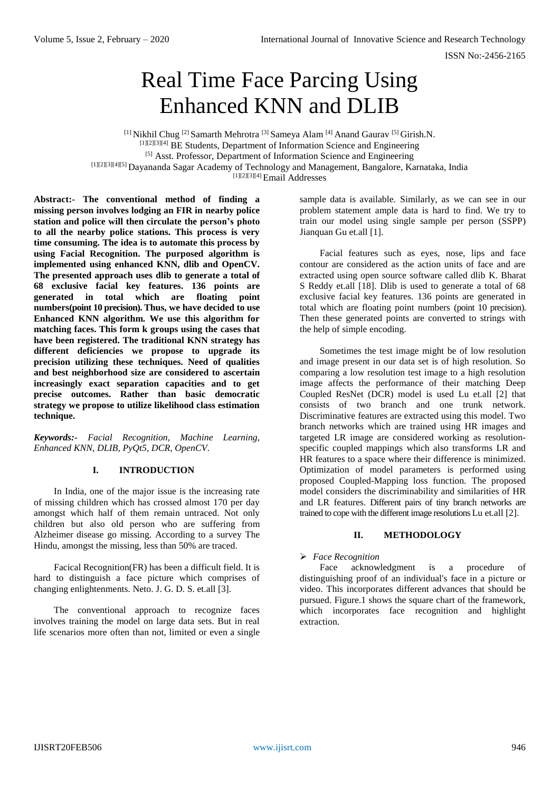# Real Time Face Parcing Using Enhanced KNN and DLIB

[1] Nikhil Chug [2] Samarth Mehrotra [3] Sameya Alam [4] Anand Gaurav [5] Girish.N. [1][2][3][4] BE Students, Department of Information Science and Engineering [5] Asst. Professor, Department of Information Science and Engineering [1][2][3][4][5] Dayananda Sagar Academy of Technology and Management, Bangalore, Karnataka, India [1][2][3][4] Email Addresses

**Abstract:- The conventional method of finding a missing person involves lodging an FIR in nearby police station and police will then circulate the person's photo to all the nearby police stations. This process is very time consuming. The idea is to automate this process by using Facial Recognition. The purposed algorithm is implemented using enhanced KNN, dlib and OpenCV. The presented approach uses dlib to generate a total of 68 exclusive facial key features. 136 points are generated in total which are floating point numbers(point 10 precision). Thus, we have decided to use Enhanced KNN algorithm. We use this algorithm for matching faces. This form k groups using the cases that have been registered. The traditional KNN strategy has different deficiencies we propose to upgrade its precision utilizing these techniques. Need of qualities and best neighborhood size are considered to ascertain increasingly exact separation capacities and to get precise outcomes. Rather than basic democratic strategy we propose to utilize likelihood class estimation technique.**

*Keywords:- Facial Recognition, Machine Learning, Enhanced KNN, DLIB, PyQt5, DCR, OpenCV.*

## **I. INTRODUCTION**

In India, one of the major issue is the increasing rate of missing children which has crossed almost 170 per day amongst which half of them remain untraced. Not only children but also old person who are suffering from Alzheimer disease go missing. According to a survey The Hindu, amongst the missing, less than 50% are traced.

Facical Recognition(FR) has been a difficult field. It is hard to distinguish a face picture which comprises of changing enlightenments. Neto. J. G. D. S. et.all [3].

The conventional approach to recognize faces involves training the model on large data sets. But in real life scenarios more often than not, limited or even a single sample data is available. Similarly, as we can see in our problem statement ample data is hard to find. We try to train our model using single sample per person (SSPP) Jianquan Gu et.all [1].

Facial features such as eyes, nose, lips and face contour are considered as the action units of face and are extracted using open source software called dlib K. Bharat S Reddy et.all [18]. Dlib is used to generate a total of 68 exclusive facial key features. 136 points are generated in total which are floating point numbers (point 10 precision). Then these generated points are converted to strings with the help of simple encoding.

Sometimes the test image might be of low resolution and image present in our data set is of high resolution. So comparing a low resolution test image to a high resolution image affects the performance of their matching Deep Coupled ResNet (DCR) model is used Lu et.all [2] that consists of two branch and one trunk network. Discriminative features are extracted using this model. Two branch networks which are trained using HR images and targeted LR image are considered working as resolutionspecific coupled mappings which also transforms LR and HR features to a space where their difference is minimized. Optimization of model parameters is performed using proposed Coupled-Mapping loss function. The proposed model considers the discriminability and similarities of HR and LR features. Different pairs of tiny branch networks are trained to cope with the different image resolutions Lu et.all [2].

## **II. METHODOLOGY**

*Face Recognition*

Face acknowledgment is a procedure distinguishing proof of an individual's face in a picture or video. This incorporates different advances that should be pursued. Figure.1 shows the square chart of the framework, which incorporates face recognition and highlight extraction.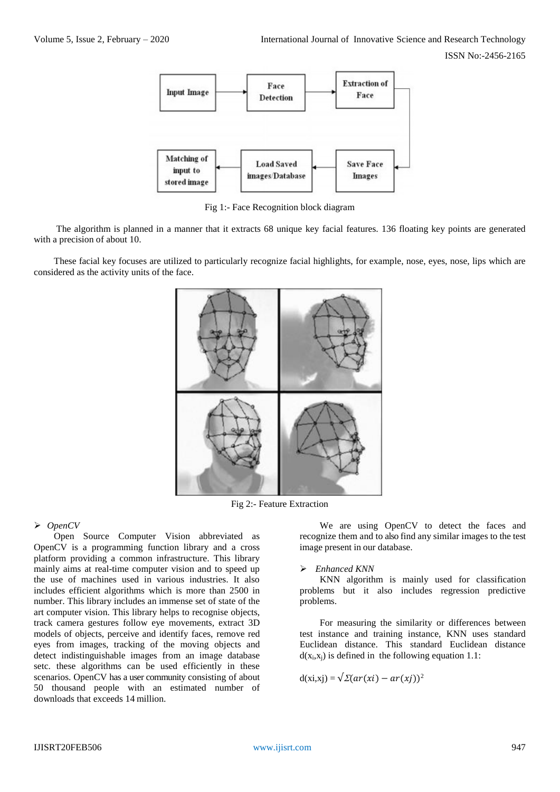

Fig 1:- Face Recognition block diagram

The algorithm is planned in a manner that it extracts 68 unique key facial features. 136 floating key points are generated with a precision of about 10.

These facial key focuses are utilized to particularly recognize facial highlights, for example, nose, eyes, nose, lips which are considered as the activity units of the face.



Fig 2:- Feature Extraction

## *OpenCV*

Open Source Computer Vision abbreviated as OpenCV is a programming function library and a cross platform providing a common infrastructure. This library mainly aims at real-time computer vision and to speed up the use of machines used in various industries. It also includes efficient algorithms which is more than 2500 in number. This library includes an immense set of state of the art computer vision. This library helps to recognise objects, track camera gestures follow eye movements, extract 3D models of objects, perceive and identify faces, remove red eyes from images, tracking of the moving objects and detect indistinguishable images from an image database setc. these algorithms can be used efficiently in these scenarios. OpenCV has a user community consisting of about 50 thousand people with an estimated number of downloads that exceeds 14 million.

We are using OpenCV to detect the faces and recognize them and to also find any similar images to the test image present in our database.

#### *Enhanced KNN*

KNN algorithm is mainly used for classification problems but it also includes regression predictive problems.

For measuring the similarity or differences between test instance and training instance, KNN uses standard Euclidean distance. This standard Euclidean distance  $d(x<sub>i</sub>,x<sub>i</sub>)$  is defined in the following equation 1.1:

$$
d(xi,xj) = \sqrt{\Sigma(ar(xi) - ar(xj))^2}
$$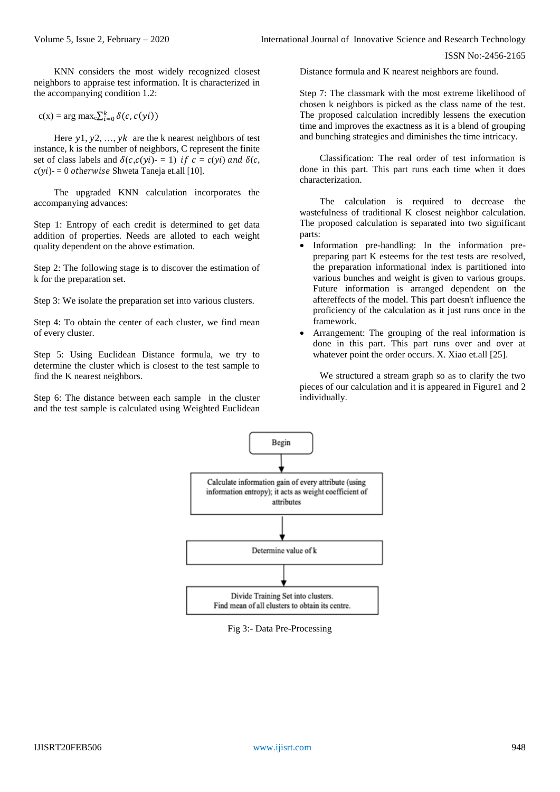KNN considers the most widely recognized closest neighbors to appraise test information. It is characterized in the accompanying condition 1.2:

$$
c(x) = \arg \max_c \sum_{i=0}^k \delta(c, c(yi))
$$

Here  $y_1, y_2, ..., y_k$  are the k nearest neighbors of test instance, k is the number of neighbors, C represent the finite set of class labels and  $\delta(c,c(yi)) = 1$  if  $c = c(yi)$  and  $\delta(c,$  $c(yi)$ - = 0 otherwise Shweta Taneja et.all [10].

The upgraded KNN calculation incorporates the accompanying advances:

Step 1: Entropy of each credit is determined to get data addition of properties. Needs are alloted to each weight quality dependent on the above estimation.

Step 2: The following stage is to discover the estimation of k for the preparation set.

Step 3: We isolate the preparation set into various clusters.

Step 4: To obtain the center of each cluster, we find mean of every cluster.

Step 5: Using Euclidean Distance formula, we try to determine the cluster which is closest to the test sample to find the K nearest neighbors.

Step 6: The distance between each sample in the cluster and the test sample is calculated using Weighted Euclidean Distance formula and K nearest neighbors are found.

Step 7: The classmark with the most extreme likelihood of chosen k neighbors is picked as the class name of the test. The proposed calculation incredibly lessens the execution time and improves the exactness as it is a blend of grouping and bunching strategies and diminishes the time intricacy.

Classification: The real order of test information is done in this part. This part runs each time when it does characterization.

The calculation is required to decrease the wastefulness of traditional K closest neighbor calculation. The proposed calculation is separated into two significant parts:

- Information pre-handling: In the information prepreparing part K esteems for the test tests are resolved, the preparation informational index is partitioned into various bunches and weight is given to various groups. Future information is arranged dependent on the aftereffects of the model. This part doesn't influence the proficiency of the calculation as it just runs once in the framework.
- Arrangement: The grouping of the real information is done in this part. This part runs over and over at whatever point the order occurs. X. Xiao et.all [25].

We structured a stream graph so as to clarify the two pieces of our calculation and it is appeared in Figure1 and 2 individually.



Fig 3:- Data Pre-Processing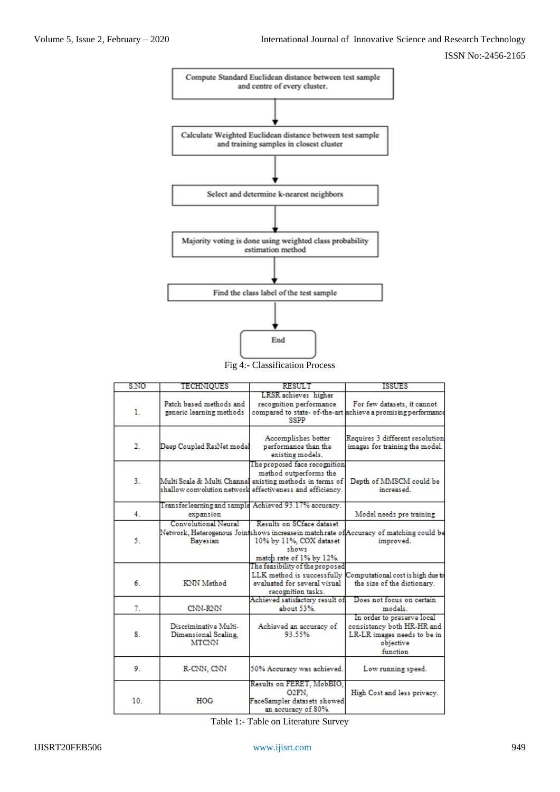

Fig 4:- Classification Process

| S.NO | TECHNIQUES                                                    | <b>RESULT</b>                                                                                                                                                                    | ISSUES                                                                                                           |
|------|---------------------------------------------------------------|----------------------------------------------------------------------------------------------------------------------------------------------------------------------------------|------------------------------------------------------------------------------------------------------------------|
| ı.   | Patch based methods and<br>generic learning methods           | LRSR achieves higher<br>recognition performance<br><b>SSPP</b>                                                                                                                   | For few datasets, it cannot<br>compared to state- of-the-art achieve a promising performance                     |
| 2.   | Deep Coupled ResNet model                                     | Accomplishes better<br>performance than the<br>existing models.                                                                                                                  | Requires 3 different resolution<br>images for training the model.                                                |
| 3.   |                                                               | The proposed face recognition<br>method outperforms the<br>Multi Scale & Multi Channel existing methods in terms of<br>shallow convolution network effectiveness and efficiency. | Depth of MMSCM could be<br>increased.                                                                            |
| 4.   | expansion                                                     | Transfer learning and sample Achieved 93.17% accuracy.                                                                                                                           | Model needs pre training                                                                                         |
| 5.   | <b>Convolutional Neural</b><br>Bayesian                       | Results on SCface dataset<br>10% by 11%, COX dataset<br>shows<br>match rate of 1% by 12%.                                                                                        | Network, Heterogenous Jointshows increase in matchrate of Accuracy of matching could be<br>improved.             |
| 6.   | KNN Method                                                    | The feasibility of the proposed<br>LLK method is successfully<br>evaluated for several visual<br>recognition tasks.                                                              | Computational cost is high due to<br>the size of the dictionary.                                                 |
| 7.   | CNN-RNN                                                       | Achieved satisfactory result of<br>about 53%.                                                                                                                                    | Does not focus on certain<br>models.                                                                             |
| 8.   | Discriminative Multi-<br>Dimensional Scaling.<br><b>MTCNN</b> | Achieved an accuracy of<br>93.55%                                                                                                                                                | In order to preserve local<br>consistency both HR-HR and<br>LR-LR images needs to be in<br>objective<br>function |
| 9.   | R-CNN, CNN                                                    | 50% Accuracy was achieved.                                                                                                                                                       | Low running speed.                                                                                               |
| 10.  | HOG                                                           | Results on FERET, MobBIO,<br>02FN.<br>FaceSampler datasets showed<br>an accuracy of 80%.                                                                                         | High Cost and less privacy.                                                                                      |

Table 1:- Table on Literature Survey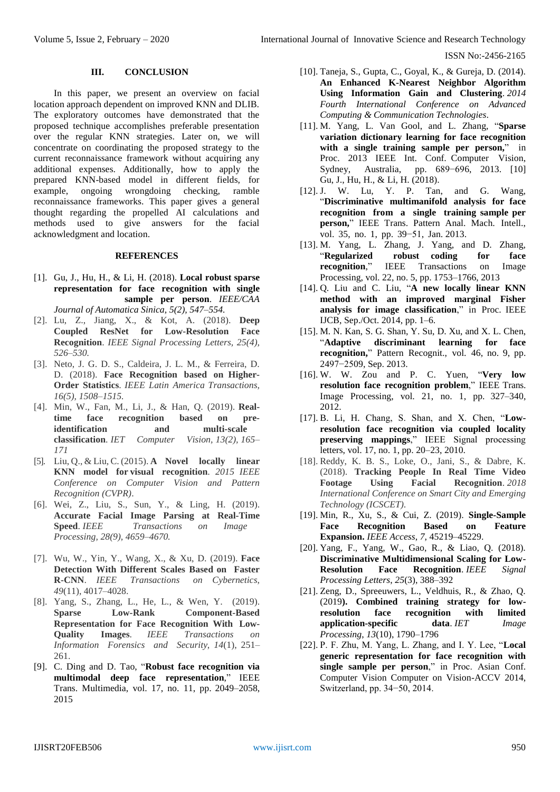#### **III. CONCLUSION**

In this paper, we present an overview on facial location approach dependent on improved KNN and DLIB. The exploratory outcomes have demonstrated that the proposed technique accomplishes preferable presentation over the regular KNN strategies. Later on, we will concentrate on coordinating the proposed strategy to the current reconnaissance framework without acquiring any additional expenses. Additionally, how to apply the prepared KNN-based model in different fields, for example, ongoing wrongdoing checking, ramble reconnaissance frameworks. This paper gives a general thought regarding the propelled AI calculations and methods used to give answers for the facial acknowledgment and location.

#### **REFERENCES**

- [1]. Gu, J., Hu, H., & Li, H. (2018). **Local robust sparse representation for face recognition with single sample per person**. *IEEE/CAA Journal of Automatica Sinica, 5(2), 547–554.*
- [2]. Lu, Z., Jiang, X., & Kot, A. (2018). **Deep Coupled ResNet for Low-Resolution Face Recognition**. *IEEE Signal Processing Letters, 25(4), 526–530.*
- [3]. Neto, J. G. D. S., Caldeira, J. L. M., & Ferreira, D. D. (2018). **Face Recognition based on Higher-Order Statistics**. *IEEE Latin America Transactions, 16(5), 1508–1515.*
- [4]. Min, W., Fan, M., Li, J., & Han, Q. (2019). **Realtime face recognition based on preidentification and multi-scale classification**. *IET Computer Vision, 13(2), 165– 171*
- [5]. Liu, Q., & Liu, C. (2015). **A Novel locally linear KNN model for visual recognition**. *2015 IEEE Conference on Computer Vision and Pattern Recognition (CVPR)*.
- [6]. Wei, Z., Liu, S., Sun, Y., & Ling, H. (2019). **Accurate Facial Image Parsing at Real-Time Speed**. *IEEE Transactions on Image Processing, 28(9), 4659–4670.*
- [7]. Wu, W., Yin, Y., Wang, X., & Xu, D. (2019). **Face Detection With Different Scales Based on Faster R-CNN**. *IEEE Transactions on Cybernetics*, *49*(11), 4017–4028.
- [8]. Yang, S., Zhang, L., He, L., & Wen, Y. (2019). **Sparse Low-Rank Component-Based Representation for Face Recognition With Low-Quality Images**. *IEEE Transactions on Information Forensics and Security*, *14*(1), 251– 261.
- [9]. C. Ding and D. Tao, "**Robust face recognition via multimodal deep face representation**," IEEE Trans. Multimedia, vol. 17, no. 11, pp. 2049–2058, 2015
- [10]. Taneja, S., Gupta, C., Goyal, K., & Gureja, D. (2014). **An Enhanced K-Nearest Neighbor Algorithm Using Information Gain and Clustering**. *2014 Fourth International Conference on Advanced Computing & Communication Technologies*.
- [11]. M. Yang, L. Van Gool, and L. Zhang, "**Sparse variation dictionary learning for face recognition with a single training sample per person,**" in Proc. 2013 IEEE Int. Conf. Computer Vision, Sydney, Australia, pp. 689−696, 2013. [10] Gu, J., Hu, H., & Li, H. (2018).
- [12]. J. W. Lu, Y. P. Tan, and G. Wang, "**Discriminative multimanifold analysis for face recognition from a single training sample per person,**" IEEE Trans. Pattern Anal. Mach. Intell., vol. 35, no. 1, pp. 39−51, Jan. 2013.
- [13]. M. Yang, L. Zhang, J. Yang, and D. Zhang, "**Regularized robust coding for face recognition**," IEEE Transactions on Image Processing, vol. 22, no. 5, pp. 1753–1766, 2013
- [14]. Q. Liu and C. Liu, "**A new locally linear KNN method with an improved marginal Fisher analysis for image classification**," in Proc. IEEE IJCB, Sep./Oct. 2014, pp. 1–6.
- [15]. M. N. Kan, S. G. Shan, Y. Su, D. Xu, and X. L. Chen, "**Adaptive discriminant learning for face recognition,**" Pattern Recognit., vol. 46, no. 9, pp. 2497−2509, Sep. 2013.
- [16]. W. W. Zou and P. C. Yuen, "**Very low resolution face recognition problem**," IEEE Trans. Image Processing, vol. 21, no. 1, pp. 327–340, 2012.
- [17]. B. Li, H. Chang, S. Shan, and X. Chen, "**Lowresolution face recognition via coupled locality preserving mappings**," IEEE Signal processing letters, vol. 17, no. 1, pp. 20–23, 2010.
- [18]. Reddy, K. B. S., Loke, O., Jani, S., & Dabre, K. (2018). **Tracking People In Real Time Video Footage Using Facial Recognition**. *2018 International Conference on Smart City and Emerging Technology (ICSCET)*.
- [19]. Min, R., Xu, S., & Cui, Z. (2019). **Single-Sample Face Recognition Based on Feature Expansion.** *IEEE Access*, *7*, 45219–45229.
- [20]. Yang, F., Yang, W., Gao, R., & Liao, Q. (2018). **Discriminative Multidimensional Scaling for Low-Resolution Face Recognition**. *IEEE Signal Processing Letters*, *25*(3), 388–392
- [21]. Zeng, D., Spreeuwers, L., Veldhuis, R., & Zhao, Q. (2019**). Combined training strategy for lowresolution face recognition with limited application-specific data**. *IET Image Processing*, *13*(10), 1790–1796
- [22]. P. F. Zhu, M. Yang, L. Zhang, and I. Y. Lee, "**Local generic representation for face recognition with single sample per person**," in Proc. Asian Conf. Computer Vision Computer on Vision-ACCV 2014, Switzerland, pp. 34−50, 2014.